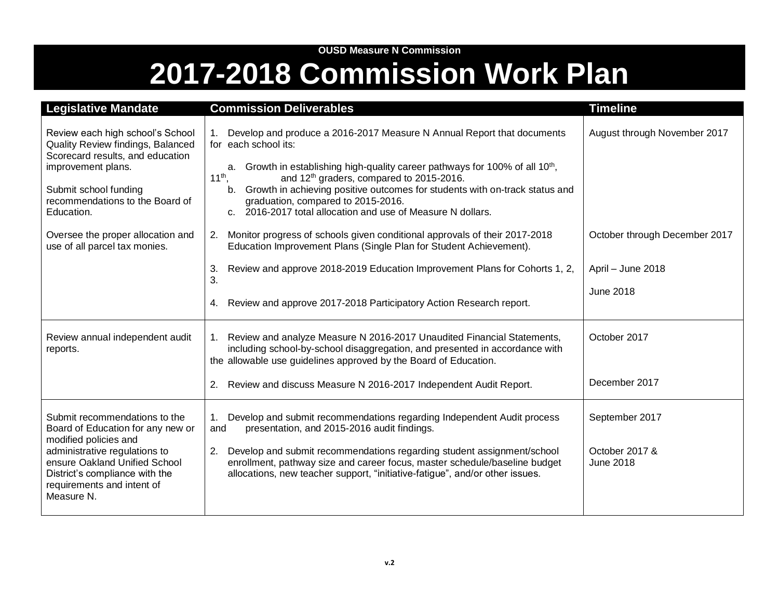# **OUSD Measure N Commission 2017-2018 Commission Work Plan**

| <b>Legislative Mandate</b>                                                                                                                                                                                                                  | <b>Commission Deliverables</b>                                                                                                                                                                                                                                                                                                                                                                           | <b>Timeline</b>                                      |
|---------------------------------------------------------------------------------------------------------------------------------------------------------------------------------------------------------------------------------------------|----------------------------------------------------------------------------------------------------------------------------------------------------------------------------------------------------------------------------------------------------------------------------------------------------------------------------------------------------------------------------------------------------------|------------------------------------------------------|
| Review each high school's School<br>Quality Review findings, Balanced<br>Scorecard results, and education<br>improvement plans.<br>Submit school funding<br>recommendations to the Board of                                                 | Develop and produce a 2016-2017 Measure N Annual Report that documents<br>1.<br>for each school its:<br>a. Growth in establishing high-quality career pathways for 100% of all 10 <sup>th</sup> ,<br>11 <sup>th</sup><br>and 12 <sup>th</sup> graders, compared to 2015-2016.<br>Growth in achieving positive outcomes for students with on-track status and<br>b.<br>graduation, compared to 2015-2016. | August through November 2017                         |
| Education.<br>Oversee the proper allocation and<br>use of all parcel tax monies.                                                                                                                                                            | c. 2016-2017 total allocation and use of Measure N dollars.<br>Monitor progress of schools given conditional approvals of their 2017-2018<br>2.<br>Education Improvement Plans (Single Plan for Student Achievement).                                                                                                                                                                                    | October through December 2017                        |
|                                                                                                                                                                                                                                             | Review and approve 2018-2019 Education Improvement Plans for Cohorts 1, 2,<br>3.<br>3.<br>Review and approve 2017-2018 Participatory Action Research report.<br>4.                                                                                                                                                                                                                                       | April - June 2018<br><b>June 2018</b>                |
| Review annual independent audit<br>reports.                                                                                                                                                                                                 | Review and analyze Measure N 2016-2017 Unaudited Financial Statements,<br>1.<br>including school-by-school disaggregation, and presented in accordance with<br>the allowable use guidelines approved by the Board of Education.                                                                                                                                                                          | October 2017                                         |
|                                                                                                                                                                                                                                             | Review and discuss Measure N 2016-2017 Independent Audit Report.<br>2.                                                                                                                                                                                                                                                                                                                                   | December 2017                                        |
| Submit recommendations to the<br>Board of Education for any new or<br>modified policies and<br>administrative regulations to<br>ensure Oakland Unified School<br>District's compliance with the<br>requirements and intent of<br>Measure N. | Develop and submit recommendations regarding Independent Audit process<br>1.<br>presentation, and 2015-2016 audit findings.<br>and<br>2.<br>Develop and submit recommendations regarding student assignment/school<br>enrollment, pathway size and career focus, master schedule/baseline budget<br>allocations, new teacher support, "initiative-fatigue", and/or other issues.                         | September 2017<br>October 2017 &<br><b>June 2018</b> |